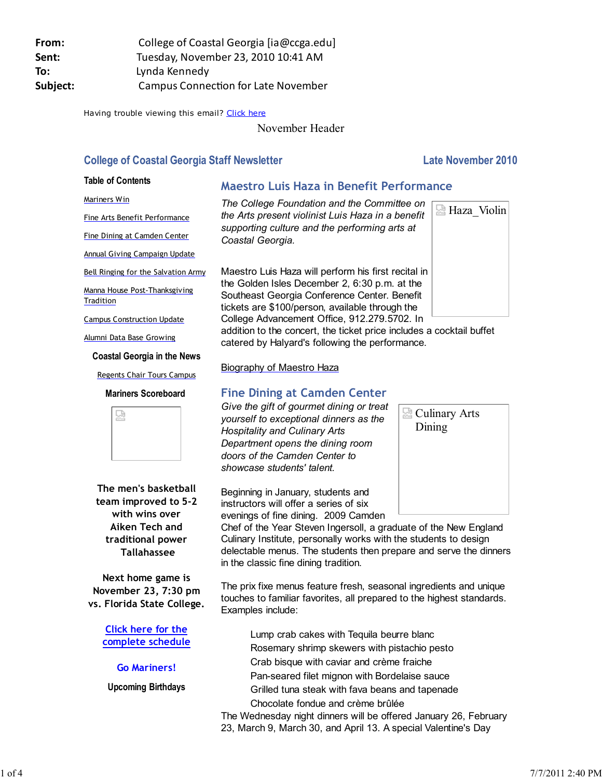Having trouble viewing this email? Click here

November Header

# **College of Coastal Georgia Staff Newsletter Late November 2010**

#### **Table of Contents**

Fine Arts Benefit Performance Fine Dining at Camden Center Annual Giving Campaign Update Bell Ringing for the Salvation Army Manna House Post-Thanksgiving

Campus Construction Update Alumni Data Base Growing

Mariners Win

**Tradition** 

# **Maestro Luis Haza in Benefit Performance**

*The College Foundation and the Committee on the Arts present violinist Luis Haza in a benefit supporting culture and the performing arts at Coastal Georgia.*

Maestro Luis Haza will perform his first recital in the Golden Isles December 2, 6:30 p.m. at the Southeast Georgia Conference Center. Benefit tickets are \$100/person, available through the College Advancement Office, 912.279.5702. In

addition to the concert, the ticket price includes a cocktail buffet catered by Halyard's following the performance.

Biography of Maestro Haza

# **Fine Dining at Camden Center**

*Give the gift of gourmet dining or treat yourself to exceptional dinners as the Hospitality and Culinary Arts Department opens the dining room doors of the Camden Center to showcase students' talent.*

Beginning in January, students and instructors will offer a series of six evenings of fine dining. 2009 Camden

Chef of the Year Steven Ingersoll, a graduate of the New England Culinary Institute, personally works with the students to design delectable menus. The students then prepare and serve the dinners in the classic fine dining tradition.

The prix fixe menus feature fresh, seasonal ingredients and unique touches to familiar favorites, all prepared to the highest standards. Examples include:

Lump crab cakes with Tequila beurre blanc Rosemary shrimp skewers with pistachio pesto Crab bisque with caviar and crème fraiche Pan-seared filet mignon with Bordelaise sauce Grilled tuna steak with fava beans and tapenade Chocolate fondue and crème brûlée The Wednesday night dinners will be offered January 26, February

23, March 9, March 30, and April 13. A special Valentine's Day



Culinary Arts Dining

Regents Chair Tours Campus

### **Mariners Scoreboard**

**Coastal Georgia in the News**



**The men's basketball team improved to 5-2 with wins over Aiken Tech and traditional power Tallahassee**

**Next home game is November 23, 7:30 pm vs. Florida State College.**

> **Click here for the complete schedule**

> > **Go Mariners!**

**Upcoming Birthdays**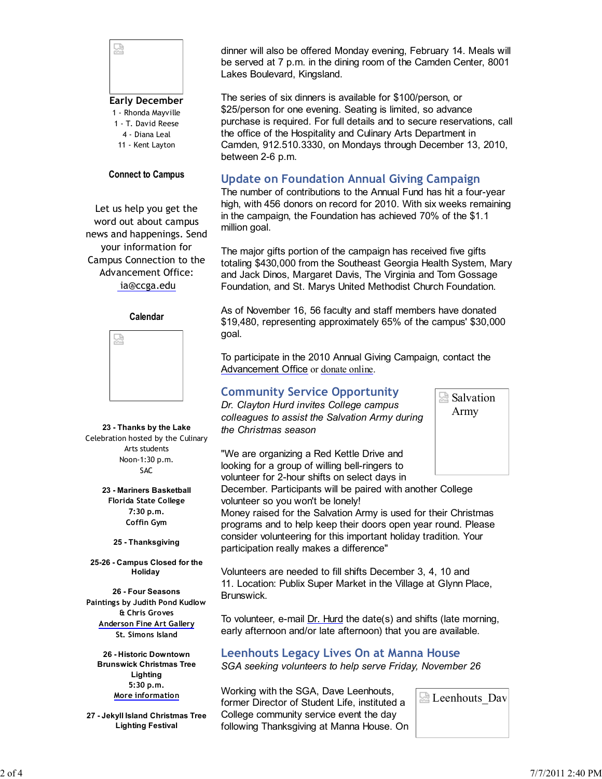

1 - Rhonda Mayville

- 1 T. David Reese
- 4 Diana Leal 11 - Kent Layton

### **Connect to Campus**

Let us help you get the word out about campus news and happenings. Send your information for Campus Connection to the Advancement Office: ia@ccga.edu

#### **Calendar**



**23 - Thanks by the Lake** Celebration hosted by the Culinary Arts students Noon-1:30 p.m. SAC

> **23 - Mariners Basketball Florida State College 7:30 p.m. Coffin Gym**

**25 - Thanksgiving**

**25-26 - Campus Closed for the Holiday** 

**26 - Four Seasons Paintings by Judith Pond Kudlow & Chris Groves Anderson Fine Art Gallery St. Simons Island**

**26 - Historic Downtown Brunswick Christmas Tree Lighting 5:30 p.m. More information**

**27 - Jekyll Island Christmas Tree Lighting Festival**

dinner will also be offered Monday evening, February 14. Meals will be served at 7 p.m. in the dining room of the Camden Center, 8001 Lakes Boulevard, Kingsland.

The series of six dinners is available for \$100/person, or \$25/person for one evening. Seating is limited, so advance purchase is required. For full details and to secure reservations, call the office of the Hospitality and Culinary Arts Department in Camden, 912.510.3330, on Mondays through December 13, 2010, between 2-6 p.m.

## **Update on Foundation Annual Giving Campaign**

The number of contributions to the Annual Fund has hit a four-year high, with 456 donors on record for 2010. With six weeks remaining in the campaign, the Foundation has achieved 70% of the \$1.1 million goal.

The major gifts portion of the campaign has received five gifts totaling \$430,000 from the Southeast Georgia Health System, Mary and Jack Dinos, Margaret Davis, The Virginia and Tom Gossage Foundation, and St. Marys United Methodist Church Foundation.

As of November 16, 56 faculty and staff members have donated \$19,480, representing approximately 65% of the campus' \$30,000 goal.

To participate in the 2010 Annual Giving Campaign, contact the Advancement Office or donate online.

### **Community Service Opportunity**

*Dr. Clayton Hurd invites College campus colleagues to assist the Salvation Army during the Christmas season*



"We are organizing a Red Kettle Drive and looking for a group of willing bell-ringers to volunteer for 2-hour shifts on select days in

December. Participants will be paired with another College volunteer so you won't be lonely!

Money raised for the Salvation Army is used for their Christmas programs and to help keep their doors open year round. Please consider volunteering for this important holiday tradition. Your participation really makes a difference"

Volunteers are needed to fill shifts December 3, 4, 10 and 11. Location: Publix Super Market in the Village at Glynn Place, Brunswick.

To volunteer, e-mail Dr. Hurd the date(s) and shifts (late morning, early afternoon and/or late afternoon) that you are available.

### **Leenhouts Legacy Lives On at Manna House**

*SGA seeking volunteers to help serve Friday, November 26*

Working with the SGA, Dave Leenhouts, former Director of Student Life, instituted a College community service event the day following Thanksgiving at Manna House. On

**Leenhouts** Dav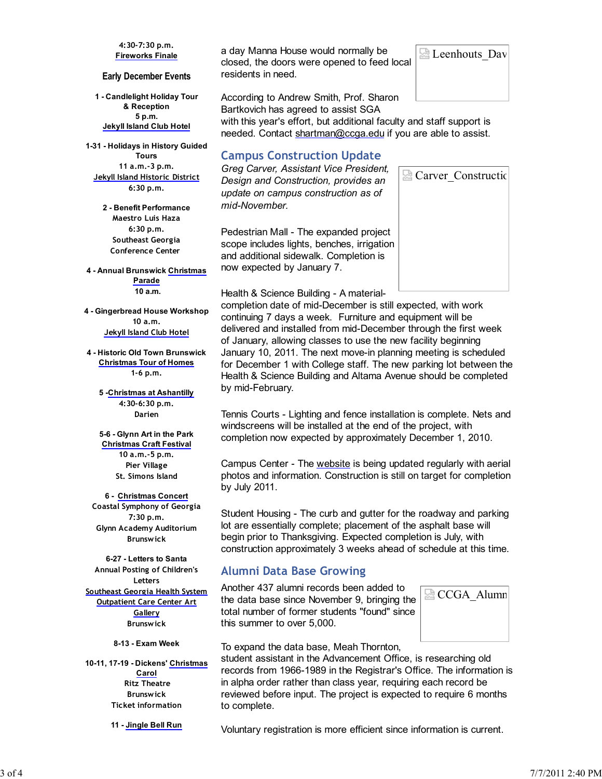#### **4:30-7:30 p.m. Fireworks Finale**

#### **Early December Events**

**1 - Candlelight Holiday Tour & Reception 5 p.m. Jekyll Island Club Hotel**

**1-31 - Holidays in History Guided Tours 11 a.m.-3 p.m. Jekyll Island Historic District 6:30 p.m.**

> **2 - Benefit Performance Maestro Luis Haza 6:30 p.m. Southeast Georgia Conference Center**

**4 - Annual Brunswick Christmas Parade 10 a.m.**

**4 - Gingerbread House Workshop 10 a.m. Jekyll Island Club Hotel**

**4 - Historic Old Town Brunswick Christmas Tour of Homes 1-6 p.m.**

> **5 -Christmas at Ashantilly 4:30-6:30 p.m. Darien**

**5-6 - Glynn Art in the Park Christmas Craft Festival 10 a.m.-5 p.m. Pier Village St. Simons Island**

**6 - Christmas Concert Coastal Symphony of Georgia 7:30 p.m. Glynn Academy Auditorium Brunswick**

**6-27 - Letters to Santa Annual Posting of Children's Letters Southeast Georgia Health System Outpatient Care Center Art Gallery Brunswick**

**8-13 - Exam Week**

**10-11, 17-19 - Dickens' Christmas Carol Ritz Theatre Brunswick Ticket information**

**11 - Jingle Bell Run**

a day Manna House would normally be closed, the doors were opened to feed local residents in need.

According to Andrew Smith, Prof. Sharon Bartkovich has agreed to assist SGA

with this year's effort, but additional faculty and staff support is needed. Contact shartman@ccga.edu if you are able to assist.

# **Campus Construction Update**

*Greg Carver, Assistant Vice President, Design and Construction, provides an update on campus construction as of mid-November.*

Pedestrian Mall - The expanded project scope includes lights, benches, irrigation and additional sidewalk. Completion is now expected by January 7.

Health & Science Building - A material-

completion date of mid-December is still expected, with work continuing 7 days a week. Furniture and equipment will be delivered and installed from mid-December through the first week of January, allowing classes to use the new facility beginning January 10, 2011. The next move-in planning meeting is scheduled for December 1 with College staff. The new parking lot between the Health & Science Building and Altama Avenue should be completed by mid-February.

Tennis Courts - Lighting and fence installation is complete. Nets and windscreens will be installed at the end of the project, with completion now expected by approximately December 1, 2010.

Campus Center - The website is being updated regularly with aerial photos and information. Construction is still on target for completion by July 2011.

Student Housing - The curb and gutter for the roadway and parking lot are essentially complete; placement of the asphalt base will begin prior to Thanksgiving. Expected completion is July, with construction approximately 3 weeks ahead of schedule at this time.

# **Alumni Data Base Growing**

Another 437 alumni records been added to the data base since November 9, bringing the total number of former students "found" since this summer to over 5,000.



To expand the data base, Meah Thornton,

student assistant in the Advancement Office, is researching old records from 1966-1989 in the Registrar's Office. The information is in alpha order rather than class year, requiring each record be reviewed before input. The project is expected to require 6 months to complete.

Voluntary registration is more efficient since information is current.



Carver\_Construction